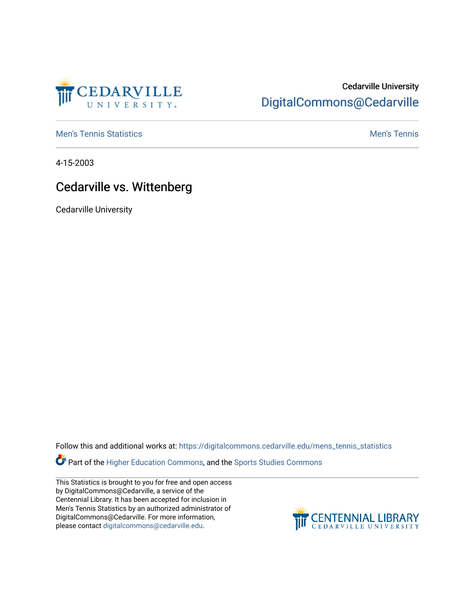

## Cedarville University [DigitalCommons@Cedarville](https://digitalcommons.cedarville.edu/)

**[Men's Tennis Statistics](https://digitalcommons.cedarville.edu/mens_tennis_statistics) Mental According to the Control of Control According Mental Men's Tennis** 

4-15-2003

## Cedarville vs. Wittenberg

Cedarville University

Follow this and additional works at: [https://digitalcommons.cedarville.edu/mens\\_tennis\\_statistics](https://digitalcommons.cedarville.edu/mens_tennis_statistics?utm_source=digitalcommons.cedarville.edu%2Fmens_tennis_statistics%2F552&utm_medium=PDF&utm_campaign=PDFCoverPages)

Part of the [Higher Education Commons,](http://network.bepress.com/hgg/discipline/1245?utm_source=digitalcommons.cedarville.edu%2Fmens_tennis_statistics%2F552&utm_medium=PDF&utm_campaign=PDFCoverPages) and the Sports Studies Commons

This Statistics is brought to you for free and open access by DigitalCommons@Cedarville, a service of the Centennial Library. It has been accepted for inclusion in Men's Tennis Statistics by an authorized administrator of DigitalCommons@Cedarville. For more information, please contact [digitalcommons@cedarville.edu](mailto:digitalcommons@cedarville.edu).